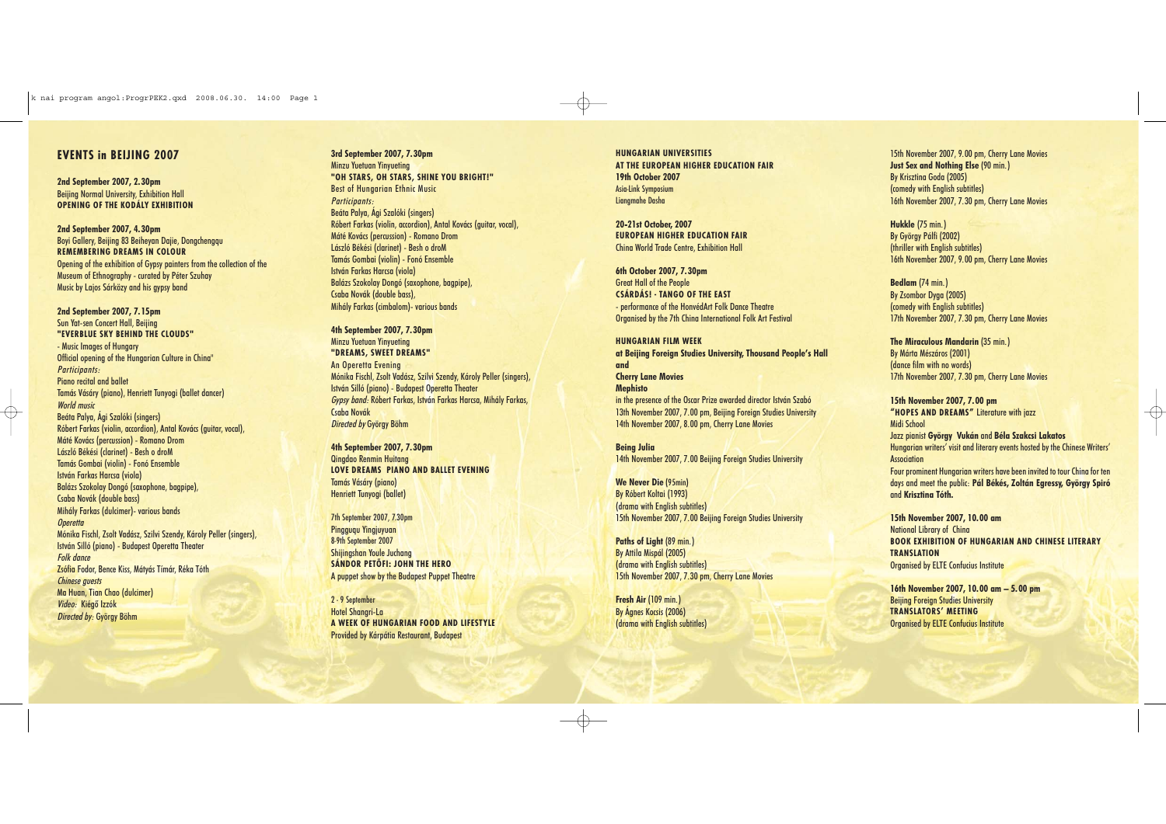## **EVENTS in BEIJING 2007**

**2nd September 2007, 2.30pm** Beijing Normal University, Exhibition Hall **OPENING OF THE KODÁLY EXHIBITION**

**2nd September 2007, 4.30pm** Boyi Gallery, Beijing 83 Beiheyan Daije, Donachengau **REMEMBERING DREAMS IN COLOUR** Opening of the exhibition of Gypsy painters from the collection of the Museum of Ethnography - curated by Péter Szuhay Music by Lajos Sárközy and his gypsy band

**2nd September 2007, 7.15pm** Sun Yat-sen Concert Hall, Beijing **"EVERBLUE SKY BEHIND THE CLOUDS"**  - Music Images of Hungary Official opening of the Hungarian Culture in China" Participants: Piano recital and ballet Tamás Vásáry (piano), Henriett Tunyogi (ballet dancer) World music Beáta Palya, Ági Szalóki (singers) Róbert Farkas (violin, accordion), Antal Kovács (guitar, vocal), Máté Kovács (percussion) - Romano Drom László Békési (clarinet) - Besh o droM Tamás Gombai (violin) - Fonó Ensemble István Farkas Harcsa (viola) Balázs Szokolay Dongó (saxophone, bagpipe), Csaba Novák (double bass) Mihály Farkas (dulcimer)- various bands **Operetta** Mónika Fischl, Zsolt Vadász, Szilvi Szendy, Károly Peller (singers), István Silló (piano) - Budapest Operetta Theater Folk dance Zsófia Fodor, Bence Kiss, Mátyás Tímár, Réka Tóth Chinese guests Ma Huan, Tian Chao (dulcimer) Video: Kiégõ Izzók Directed by: György Böhm

**3rd September 2007, 7.30pm** Minzu Yuetuan Yinyueting **"OH STARS, OH STARS, SHINE YOU BRIGHT!"** Best of Hungarian Ethnic Music Participants: Beáta Palya, Ági Szalóki (singers) Róbert Farkas (violin, accordion), Antal Kovács (guitar, vocal), Máté Kovács (percussion) - Romano Drom László Békési (clarinet) - Besh o droM Tamás Gombai (violin) - Fonó Ensemble István Farkas Harcsa (viola) Balázs Szokolay Dongó (saxophone, bagpipe), Csaba Novák (double bass), Mihály Farkas (cimbalom)- various bands

**4th September 2007, 7.30pm** Minzu Yuetuan Yinyueting **"DREAMS, SWEET DREAMS"** An Operetta Evening Mónika Fischl, Zsolt Vadász, Szilvi Szendy, Károly Peller (singers), István Silló (piano) - Budapest Operetta Theater Gypsy band: Róbert Farkas, István Farkas Harcsa, Mihály Farkas, Csaba Novák Directed by György Böhm

Midi School **Association** 

**4th September 2007, 7.30pm** Qingdao Renmin Huitang **LOVE DREAMS PIANO AND BALLET EVENING** Tamás Vásáry (piano) Henriett Tunyogi (ballet)

7th September 2007, 7.30pm Pingguqu Yingjuyuan 8-9th September 2007 Shijingshan Youle Juchang **SÁNDOR PETÕFI: JOHN THE HERO** A puppet show by the Budapest Puppet Theatre

2 - 9 September Hotel Shangri-La **A WEEK OF HUNGARIAN FOOD AND LIFESTYLE** Provided by Kárpátia Restaurant, Budapest

**HUNGARIAN UNIVERSITIES AT THE EUROPEAN HIGHER EDUCATION FAIR 19th October 2007** Asia-Link Symposium Liangmahe Dasha

**20-21st October, 2007 EUROPEAN HIGHER EDUCATION FAIR** China World Trade Centre, Exhibition Hall

**6th October 2007, 7.30pm**  Great Hall of the People **CSÁRDÁS! - TANGO OF THE EAST**  - performance of the HonvédArt Folk Dance Theatre Organised by the 7th China International Folk Art Festival

**HUNGARIAN FILM WEEK at Beijing Foreign Studies University, Thousand People's Hall and Cherry Lane Movies Mephisto**  in the presence of the Oscar Prize awarded director István Szabó 13th November 2007, 7.00 pm, Beijing Foreign Studies University 14th November 2007, 8.00 pm, Cherry Lane Movies

**Being Julia** 14th November 2007, 7.00 Beijing Foreign Studies University

**We Never Die** (95min) By Róbert Koltai (1993) (drama with English subtitles) 15th November 2007, 7.00 Beijing Foreign Studies University

**Paths of Light** (89 min.) By Attila Mispál (2005) (drama with English subtitles) 15th November 2007, 7.30 pm, Cherry Lane Movies

**Fresh Air** (109 min.) By Ágnes Kocsis (2006) (drama with English subtitles)

15th November 2007, 9.00 pm, Cherry Lane Movies **Just Sex and Nothing Else** (90 min.) By Krisztina Goda (2005) (comedy with English subtitles) 16th November 2007, 7.30 pm, Cherry Lane Movies

**Hukkle** (75 min.) By György Pálfi (2002) (thriller with English subtitles) 16th November 2007, 9.00 pm, Cherry Lane Movies

**Bedlam** (74 min.) By Zsombor Dyga (2005) (comedy with English subtitles) 17th November 2007, 7.30 pm, Cherry Lane Movies

**The Miraculous Mandarin** (35 min.) By Márta Mészáros (2001) (dance film with no words) 17th November 2007, 7.30 pm, Cherry Lane Movies

**15th November 2007, 7.00 pm "HOPES AND DREAMS"** Literature with jazz

Jazz pianist **György Vukán** and **Béla Szakcsi Lakatos** Hungarian writers' visit and literary events hosted by the Chinese Writers'

Four prominent Hungarian writers have been invited to tour China for ten days and meet the public: **Pál Békés, Zoltán Egressy, György Spiró** and **Krisztina Tóth.**

**15th November 2007, 10.00 am**

National Library of China **BOOK EXHIBITION OF HUNGARIAN AND CHINESE LITERARY TRANSLATION** Organised by ELTE Confucius Institute

**16th November 2007, 10.00 am – 5.00 pm**

Beijing Foreign Studies University **TRANSLATORS' MEETING**

Organised by ELTE Confucius Institute